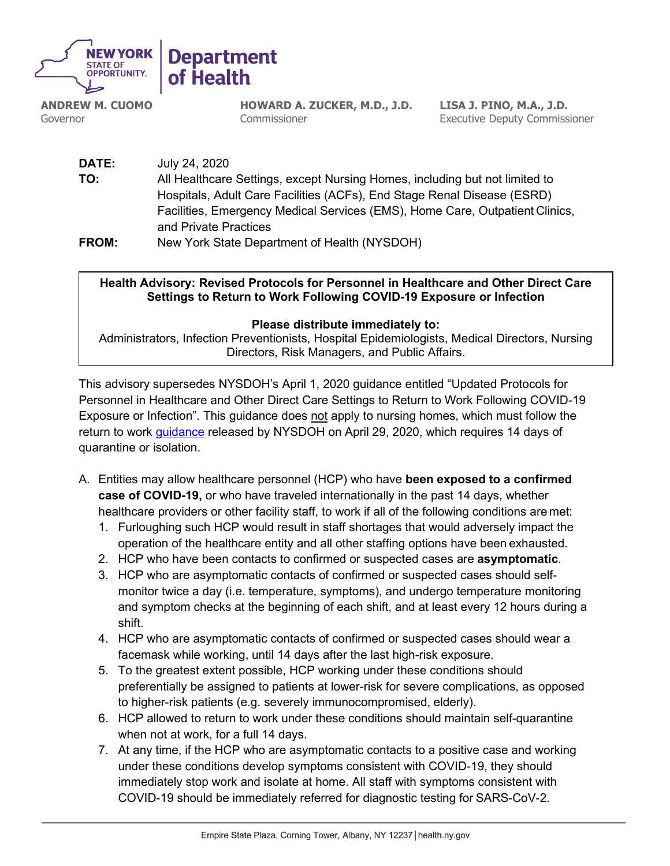

**ANDREW M. CUOMO** Governor

**HOWARD A. ZUCKER, M.D., J.D. Commissioner** 

**LISA J. PINO, M.A., J.D.** Executive Deputy Commissioner

**DATE:** July 24, 2020 **TO:** All Healthcare Settings, except Nursing Homes, including but not limited to Hospitals, Adult Care Facilities (ACFs), End Stage Renal Disease (ESRD) Facilities, Emergency Medical Services (EMS), Home Care, Outpatient Clinics, and Private Practices **FROM:** New York State Department of Health (NYSDOH)

**Health Advisory: Revised Protocols for Personnel in Healthcare and Other Direct Care Settings to Return to Work Following COVID-19 Exposure or Infection**

## **Please distribute immediately to:**

Directors, Risk Managers, and Public Affairs. Administrators, Infection Preventionists, Hospital Epidemiologists, Medical Directors, Nursing

This advisory supersedes NYSDOH's April 1, 2020 guidance entitled "Updated Protocols for Personnel in Healthcare and Other Direct Care Settings to Return to Work Following COVID-19 Exposure or Infection". This guidance does not apply to nursing homes, which must follow the return to work [guidance](https://coronavirus.health.ny.gov/system/files/documents/2020/05/nh-letterregardingemployees-4.29.20.pdf) released by NYSDOH on April 29, 2020, which requires 14 days of quarantine or isolation.

- A. Entities may allow healthcare personnel (HCP) who have **been exposed to a confirmed case of COVID-19,** or who have traveled internationally in the past 14 days, whether healthcare providers or other facility staff, to work if all of the following conditions are met:
	- 1. Furloughing such HCP would result in staff shortages that would adversely impact the operation of the healthcare entity and all other staffing options have been exhausted.
	- 2. HCP who have been contacts to confirmed or suspected cases are **asymptomatic**.
	- 3. HCP who are asymptomatic contacts of confirmed or suspected cases should selfmonitor twice a day (i.e. temperature, symptoms), and undergo temperature monitoring and symptom checks at the beginning of each shift, and at least every 12 hours during a shift.
	- 4. HCP who are asymptomatic contacts of confirmed or suspected cases should wear a facemask while working, until 14 days after the last high-risk exposure.
	- 5. To the greatest extent possible, HCP working under these conditions should preferentially be assigned to patients at lower-risk for severe complications, as opposed to higher-risk patients (e.g. severely immunocompromised, elderly).
	- 6. HCP allowed to return to work under these conditions should maintain self-quarantine when not at work, for a full 14 days.
	- 7. At any time, if the HCP who are asymptomatic contacts to a positive case and working under these conditions develop symptoms consistent with COVID-19, they should immediately stop work and isolate at home. All staff with symptoms consistent with COVID-19 should be immediately referred for diagnostic testing for SARS-CoV-2.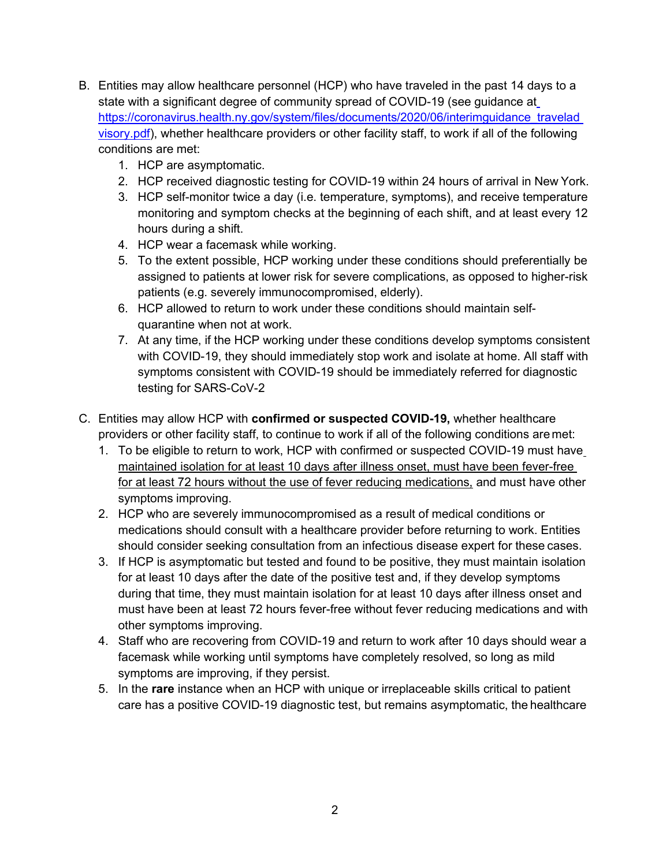- B. Entities may allow healthcare personnel (HCP) who have traveled in the past 14 days to a state with a significant degree of community spread of COVID-19 (see guidance at [https://coronavirus.health.ny.gov/system/files/documents/2020/06/interimguidance\\_travelad](https://coronavirus.health.ny.gov/system/files/documents/2020/06/interimguidance_traveladvisory.pdf) [visory.pdf\)](https://coronavirus.health.ny.gov/system/files/documents/2020/06/interimguidance_traveladvisory.pdf), whether healthcare providers or other facility staff, to work if all of the following conditions are met:
	- 1. HCP are asymptomatic.
	- 2. HCP received diagnostic testing for COVID-19 within 24 hours of arrival in New York.
	- 3. HCP self-monitor twice a day (i.e. temperature, symptoms), and receive temperature monitoring and symptom checks at the beginning of each shift, and at least every 12 hours during a shift.
	- 4. HCP wear a facemask while working.
	- 5. To the extent possible, HCP working under these conditions should preferentially be assigned to patients at lower risk for severe complications, as opposed to higher-risk patients (e.g. severely immunocompromised, elderly).
	- 6. HCP allowed to return to work under these conditions should maintain selfquarantine when not at work.
	- 7. At any time, if the HCP working under these conditions develop symptoms consistent with COVID-19, they should immediately stop work and isolate at home. All staff with symptoms consistent with COVID-19 should be immediately referred for diagnostic testing for SARS-CoV-2
- C. Entities may allow HCP with **confirmed or suspected COVID-19,** whether healthcare providers or other facility staff, to continue to work if all of the following conditions are met:
	- 1. To be eligible to return to work, HCP with confirmed or suspected COVID-19 must have maintained isolation for at least 10 days after illness onset, must have been fever-free for at least 72 hours without the use of fever reducing medications, and must have other symptoms improving.
	- 2. HCP who are severely immunocompromised as a result of medical conditions or medications should consult with a healthcare provider before returning to work. Entities should consider seeking consultation from an infectious disease expert for these cases.
	- 3. If HCP is asymptomatic but tested and found to be positive, they must maintain isolation for at least 10 days after the date of the positive test and, if they develop symptoms during that time, they must maintain isolation for at least 10 days after illness onset and must have been at least 72 hours fever-free without fever reducing medications and with other symptoms improving.
	- 4. Staff who are recovering from COVID-19 and return to work after 10 days should wear a facemask while working until symptoms have completely resolved, so long as mild symptoms are improving, if they persist.
	- 5. In the **rare** instance when an HCP with unique or irreplaceable skills critical to patient care has a positive COVID-19 diagnostic test, but remains asymptomatic, the healthcare